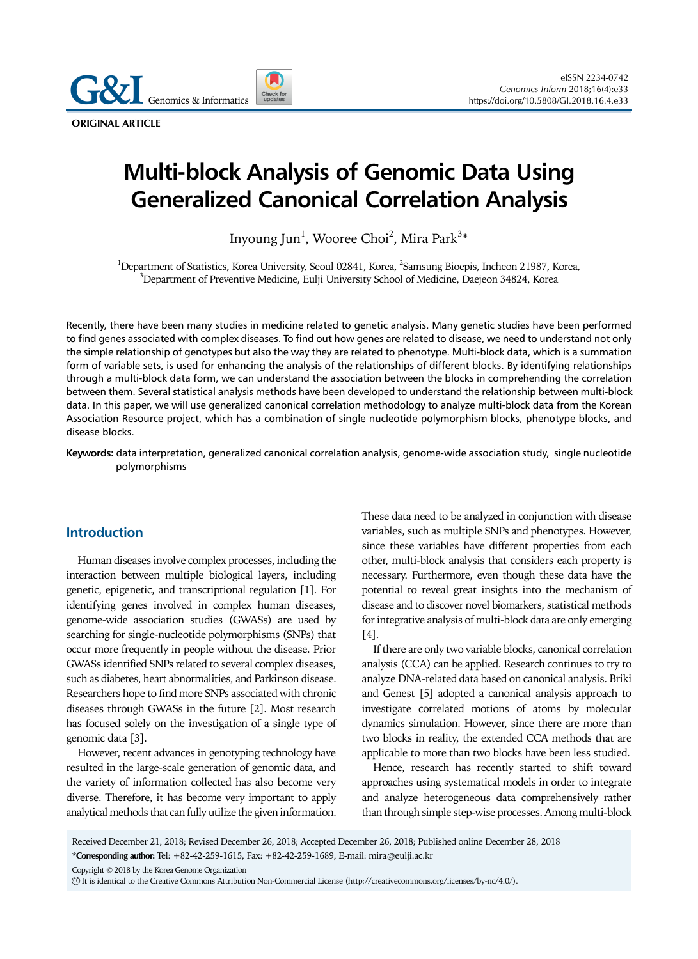**Genomics & Informatics** 

**ORIGINAL ARTICLE**

# **Multi-block Analysis of Genomic Data Using Generalized Canonical Correlation Analysis**

Inyoung Jun $^{\rm l}$ , Wooree Choi $^{\rm 2}$ , Mira Park $^{\rm 3*}$ 

<sup>1</sup>Department of Statistics, Korea University, Seoul 02841, Korea, <sup>2</sup>Samsung Bioepis, Incheon 21987, Korea, <sup>3</sup>Department of Drayontive Medicine, Eulii University School of Medicine, Decision 24824, Korea,  $^3$ Department of Preventive Medicine, Eulji University School of Medicine, Daejeon 34824, Korea

Recently, there have been many studies in medicine related to genetic analysis. Many genetic studies have been performed to find genes associated with complex diseases. To find out how genes are related to disease, we need to understand not only the simple relationship of genotypes but also the way they are related to phenotype. Multi-block data, which is a summation form of variable sets, is used for enhancing the analysis of the relationships of different blocks. By identifying relationships through a multi-block data form, we can understand the association between the blocks in comprehending the correlation between them. Several statistical analysis methods have been developed to understand the relationship between multi-block data. In this paper, we will use generalized canonical correlation methodology to analyze multi-block data from the Korean Association Resource project, which has a combination of single nucleotide polymorphism blocks, phenotype blocks, and disease blocks.

**Keywords:** data interpretation, generalized canonical correlation analysis, genome-wide association study, single nucleotide polymorphisms

## **Introduction**

Human diseases involve complex processes, including the interaction between multiple biological layers, including genetic, epigenetic, and transcriptional regulation [1]. For identifying genes involved in complex human diseases, genome-wide association studies (GWASs) are used by searching for single-nucleotide polymorphisms (SNPs) that occur more frequently in people without the disease. Prior GWASs identified SNPs related to several complex diseases, such as diabetes, heart abnormalities, and Parkinson disease. Researchers hope to find more SNPs associated with chronic diseases through GWASs in the future [2]. Most research has focused solely on the investigation of a single type of genomic data [3].

However, recent advances in genotyping technology have resulted in the large-scale generation of genomic data, and the variety of information collected has also become very diverse. Therefore, it has become very important to apply analytical methods that can fully utilize the given information.

These data need to be analyzed in conjunction with disease variables, such as multiple SNPs and phenotypes. However, since these variables have different properties from each other, multi-block analysis that considers each property is necessary. Furthermore, even though these data have the potential to reveal great insights into the mechanism of disease and to discover novel biomarkers, statistical methods for integrative analysis of multi-block data are only emerging [4].

If there are only two variable blocks, canonical correlation analysis (CCA) can be applied. Research continues to try to analyze DNA-related data based on canonical analysis. Briki and Genest [5] adopted a canonical analysis approach to investigate correlated motions of atoms by molecular dynamics simulation. However, since there are more than two blocks in reality, the extended CCA methods that are applicable to more than two blocks have been less studied.

Hence, research has recently started to shift toward approaches using systematical models in order to integrate and analyze heterogeneous data comprehensively rather than through simple step-wise processes. Among multi-block

Received December 21, 2018; Revised December 26, 2018; Accepted December 26, 2018; Published online December 28, 2018 **\*Corresponding author:** Tel: +82-42-259-1615, Fax: +82-42-259-1689, E-mail: mira@eulji.ac.kr

Copyright © 2018 by the Korea Genome Organization

CC It is identical to the Creative Commons Attribution Non-Commercial License (http://creativecommons.org/licenses/by-nc/4.0/).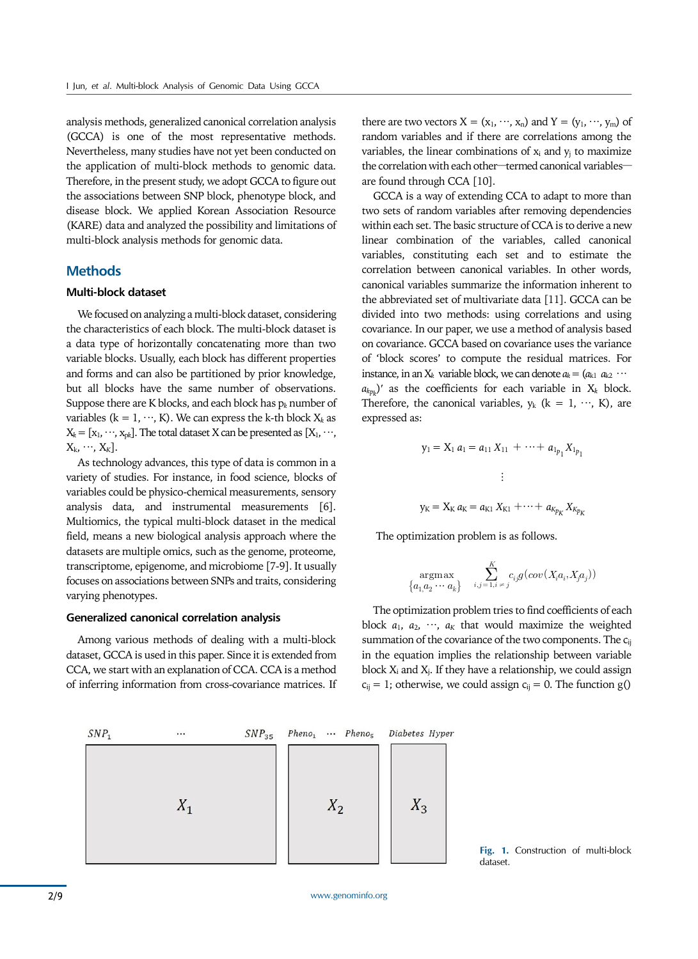analysis methods, generalized canonical correlation analysis (GCCA) is one of the most representative methods. Nevertheless, many studies have not yet been conducted on the application of multi-block methods to genomic data. Therefore, in the present study, we adopt GCCA to figure out the associations between SNP block, phenotype block, and disease block. We applied Korean Association Resource (KARE) data and analyzed the possibility and limitations of multi-block analysis methods for genomic data.

# **Methods**

## **Multi-block dataset**

We focused on analyzing a multi-block dataset, considering the characteristics of each block. The multi-block dataset is a data type of horizontally concatenating more than two variable blocks. Usually, each block has different properties and forms and can also be partitioned by prior knowledge, but all blocks have the same number of observations. Suppose there are K blocks, and each block has p*k* number of variables ( $k = 1, \dots, K$ ). We can express the k-th block  $X_k$  as  $X_k = [x_1, \dots, x_{nk}]$ . The total dataset X can be presented as  $[X_1, \dots, X_n]$  $X_k, \dots, X_K$ ].

As technology advances, this type of data is common in a variety of studies. For instance, in food science, blocks of variables could be physico-chemical measurements, sensory analysis data, and instrumental measurements [6]. Multiomics, the typical multi-block dataset in the medical field, means a new biological analysis approach where the datasets are multiple omics, such as the genome, proteome, transcriptome, epigenome, and microbiome [7-9]. It usually focuses on associations between SNPs and traits, considering varying phenotypes.

#### **Generalized canonical correlation analysis**

Among various methods of dealing with a multi-block dataset, GCCA is used in this paper. Since it is extended from CCA, we start with an explanation of CCA. CCA is a method of inferring information from cross-covariance matrices. If there are two vectors  $X = (x_1, \dots, x_n)$  and  $Y = (y_1, \dots, y_m)$  of random variables and if there are correlations among the variables, the linear combinations of  $x_i$  and  $y_j$  to maximize the correlation with each other—termed canonical variables are found through CCA [10].

GCCA is a way of extending CCA to adapt to more than two sets of random variables after removing dependencies within each set. The basic structure of CCA is to derive a new linear combination of the variables, called canonical variables, constituting each set and to estimate the correlation between canonical variables. In other words, canonical variables summarize the information inherent to the abbreviated set of multivariate data [11]. GCCA can be divided into two methods: using correlations and using covariance. In our paper, we use a method of analysis based on covariance. GCCA based on covariance uses the variance of 'block scores' to compute the residual matrices. For instance, in an  $X_k$  variable block, we can denote  $a_k = (a_{k1} \ a_{k2} \ \cdots)$ *akpk* )′ as the coefficients for each variable in X*k* block. Therefore, the canonical variables,  $y_k$  ( $k = 1, \dots, K$ ), are expressed as:

$$
y_1 = X_1 a_1 = a_{11} X_{11} + \dots + a_{1p_1} X_{1p_1}
$$
  

$$
\vdots
$$
  

$$
y_K = X_K a_K = a_{K1} X_{K1} + \dots + a_{Kp_K} X_{Kp_K}
$$

The optimization problem is as follows.

$$
\operatornamewithlimits{argmax}_{\left\{a_1, a_2\cdot \cdot \cdot \cdot a_k\right\}} \quad \sum_{i,j=1, i \,\neq \, j}^K c_{ij} g(cov(X_i a_i, X_j a_j))
$$

The optimization problem tries to find coefficients of each block  $a_1$ ,  $a_2$ ,  $\dots$ ,  $a_k$  that would maximize the weighted summation of the covariance of the two components. The c<sub>ij</sub> in the equation implies the relationship between variable block  $X_i$  and  $X_i$ . If they have a relationship, we could assign  $c_{ij}$  = 1; otherwise, we could assign  $c_{ij}$  = 0. The function g()



**Fig. 1.** Construction of multi-block dataset.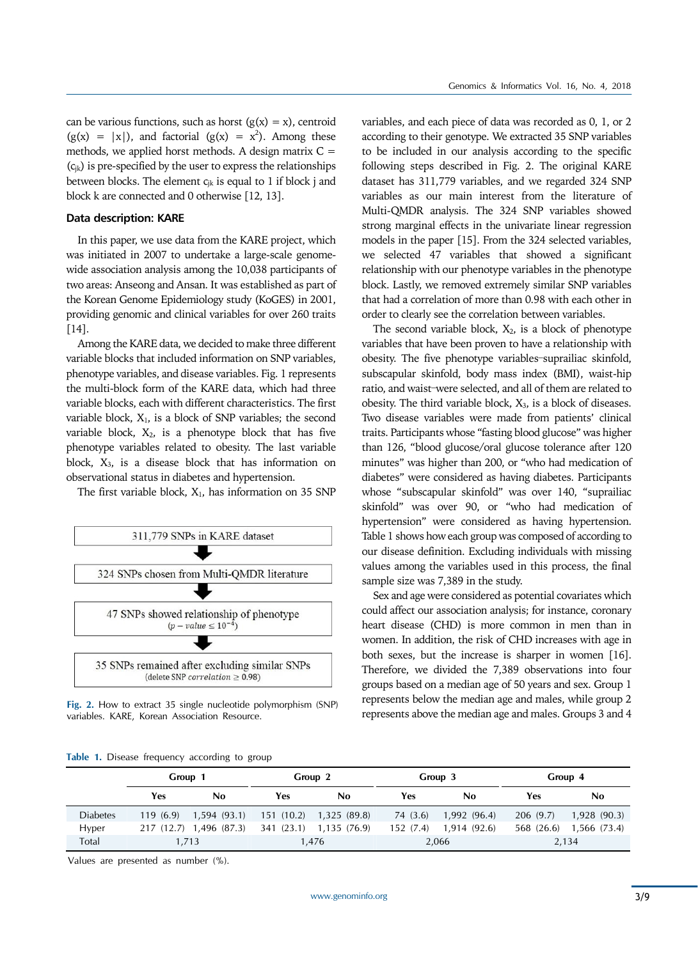can be various functions, such as horst  $(g(x) = x)$ , centroid  $(g(x) = |x|)$ , and factorial  $(g(x) = x^2)$ . Among these methods, we applied horst methods. A design matrix  $C =$  $(c_{ik})$  is pre-specified by the user to express the relationships between blocks. The element  $c_{ik}$  is equal to 1 if block j and block k are connected and 0 otherwise [12, 13].

## **Data description: KARE**

In this paper, we use data from the KARE project, which was initiated in 2007 to undertake a large-scale genomewide association analysis among the 10,038 participants of two areas: Anseong and Ansan. It was established as part of the Korean Genome Epidemiology study (KoGES) in 2001, providing genomic and clinical variables for over 260 traits [14].

Among the KARE data, we decided to make three different variable blocks that included information on SNP variables, phenotype variables, and disease variables. Fig. 1 represents the multi-block form of the KARE data, which had three variable blocks, each with different characteristics. The first variable block,  $X_1$ , is a block of SNP variables; the second variable block,  $X_2$ , is a phenotype block that has five phenotype variables related to obesity. The last variable block,  $X_3$ , is a disease block that has information on observational status in diabetes and hypertension.

The first variable block,  $X_1$ , has information on 35 SNP



**Fig. 2.** How to extract 35 single nucleotide polymorphism (SNP) variables. KARE, Korean Association Resource.

| Table 1. Disease frequency according to group |  |  |  |  |
|-----------------------------------------------|--|--|--|--|
|-----------------------------------------------|--|--|--|--|

variables, and each piece of data was recorded as 0, 1, or 2 according to their genotype. We extracted 35 SNP variables to be included in our analysis according to the specific following steps described in Fig. 2. The original KARE dataset has 311,779 variables, and we regarded 324 SNP variables as our main interest from the literature of Multi-QMDR analysis. The 324 SNP variables showed strong marginal effects in the univariate linear regression models in the paper [15]. From the 324 selected variables, we selected 47 variables that showed a significant relationship with our phenotype variables in the phenotype block. Lastly, we removed extremely similar SNP variables that had a correlation of more than 0.98 with each other in order to clearly see the correlation between variables.

The second variable block,  $X_2$ , is a block of phenotype variables that have been proven to have a relationship with obesity. The five phenotype variables–suprailiac skinfold, subscapular skinfold, body mass index (BMI), waist-hip ratio, and waist–were selected, and all of them are related to obesity. The third variable block, X3, is a block of diseases. Two disease variables were made from patients' clinical traits. Participants whose "fasting blood glucose" was higher than 126, "blood glucose/oral glucose tolerance after 120 minutes" was higher than 200, or "who had medication of diabetes" were considered as having diabetes. Participants whose "subscapular skinfold" was over 140, "suprailiac skinfold" was over 90, or "who had medication of hypertension" were considered as having hypertension. Table 1 shows how each group was composed of according to our disease definition. Excluding individuals with missing values among the variables used in this process, the final sample size was 7,389 in the study.

Sex and age were considered as potential covariates which could affect our association analysis; for instance, coronary heart disease (CHD) is more common in men than in women. In addition, the risk of CHD increases with age in both sexes, but the increase is sharper in women [16]. Therefore, we divided the 7,389 observations into four groups based on a median age of 50 years and sex. Group 1 represents below the median age and males, while group 2 represents above the median age and males. Groups 3 and 4

|                 | Group 1  |                         | Group 2    |              |           | Group 3      |            | Group 4        |  |
|-----------------|----------|-------------------------|------------|--------------|-----------|--------------|------------|----------------|--|
|                 | Yes      | No.                     | Yes        | No           | Yes       | No           | Yes        | No             |  |
| <b>Diabetes</b> | 119(6.9) | 1,594(93.1)             | 151 (10.2) | 1,325 (89.8) | 74 (3.6)  | 1,992 (96.4) | 206(9.7)   | $1,928$ (90.3) |  |
| <b>Hyper</b>    |          | 217 (12.7) 1,496 (87.3) | 341 (23.1) | 1,135 (76.9) | 152 (7.4) | 1,914 (92.6) | 568 (26.6) | 1,566 (73.4)   |  |
| Total           | 1.713    |                         |            | 1,476        |           | 2,066        |            | 2,134          |  |

Values are presented as number (%).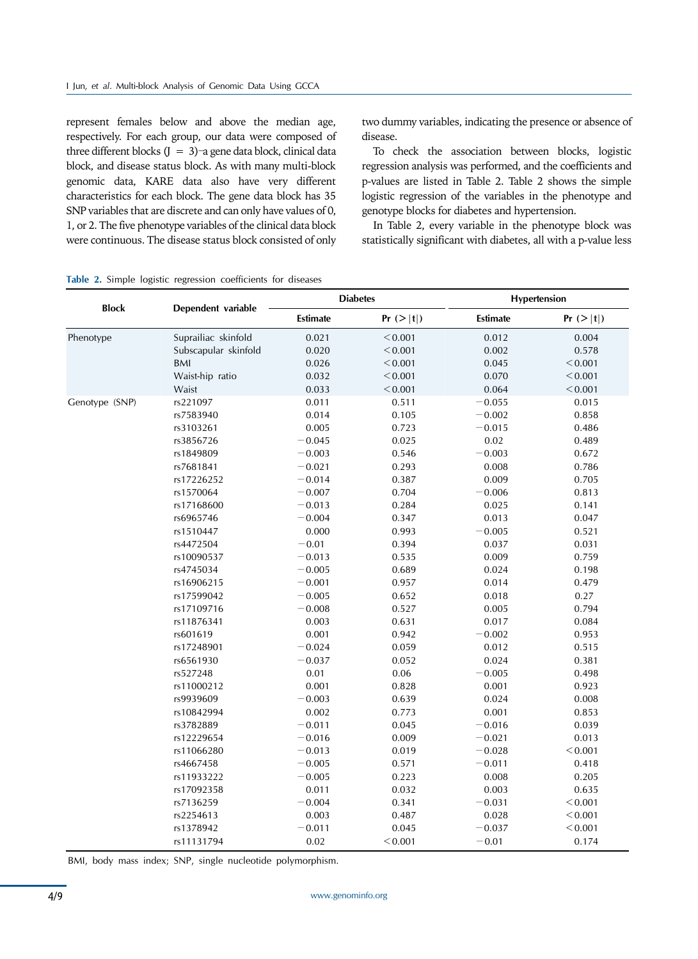represent females below and above the median age, respectively. For each group, our data were composed of three different blocks  $(J = 3)$ –a gene data block, clinical data block, and disease status block. As with many multi-block genomic data, KARE data also have very different characteristics for each block. The gene data block has 35 SNP variables that are discrete and can only have values of 0, 1, or 2. The five phenotype variables of the clinical data block were continuous. The disease status block consisted of only two dummy variables, indicating the presence or absence of disease.

To check the association between blocks, logistic regression analysis was performed, and the coefficients and p-values are listed in Table 2. Table 2 shows the simple logistic regression of the variables in the phenotype and genotype blocks for diabetes and hypertension.

In Table 2, every variable in the phenotype block was statistically significant with diabetes, all with a p-value less

### **Table 2.** Simple logistic regression coefficients for diseases

| <b>Block</b>   | Dependent variable   | <b>Diabetes</b> |             | Hypertension |             |
|----------------|----------------------|-----------------|-------------|--------------|-------------|
|                |                      | <b>Estimate</b> | Pr ( >  t ) | Estimate     | Pr ( >  t ) |
| Phenotype      | Suprailiac skinfold  | 0.021           | < 0.001     | 0.012        | 0.004       |
|                | Subscapular skinfold | 0.020           | < 0.001     | 0.002        | 0.578       |
|                | <b>BMI</b>           | 0.026           | < 0.001     | 0.045        | < 0.001     |
|                | Waist-hip ratio      | 0.032           | < 0.001     | 0.070        | < 0.001     |
|                | Waist                | 0.033           | < 0.001     | 0.064        | < 0.001     |
| Genotype (SNP) | rs221097             | 0.011           | 0.511       | $-0.055$     | 0.015       |
|                | rs7583940            | 0.014           | 0.105       | $-0.002$     | 0.858       |
|                | rs3103261            | 0.005           | 0.723       | $-0.015$     | 0.486       |
|                | rs3856726            | $-0.045$        | 0.025       | 0.02         | 0.489       |
|                | rs1849809            | $-0.003$        | 0.546       | $-0.003$     | 0.672       |
|                | rs7681841            | $-0.021$        | 0.293       | 0.008        | 0.786       |
|                | rs17226252           | $-0.014$        | 0.387       | 0.009        | 0.705       |
|                | rs1570064            | $-0.007$        | 0.704       | $-0.006$     | 0.813       |
|                | rs17168600           | $-0.013$        | 0.284       | 0.025        | 0.141       |
|                | rs6965746            | $-0.004$        | 0.347       | 0.013        | 0.047       |
|                | rs1510447            | 0.000           | 0.993       | $-0.005$     | 0.521       |
|                | rs4472504            | $-0.01$         | 0.394       | 0.037        | 0.031       |
|                | rs10090537           | $-0.013$        | 0.535       | 0.009        | 0.759       |
|                | rs4745034            | $-0.005$        | 0.689       | 0.024        | 0.198       |
|                | rs16906215           | $-0.001$        | 0.957       | 0.014        | 0.479       |
|                | rs17599042           | $-0.005$        | 0.652       | 0.018        | 0.27        |
|                | rs17109716           | $-0.008$        | 0.527       | 0.005        | 0.794       |
|                | rs11876341           | 0.003           | 0.631       | 0.017        | 0.084       |
|                | rs601619             | 0.001           | 0.942       | $-0.002$     | 0.953       |
|                | rs17248901           | $-0.024$        | 0.059       | 0.012        | 0.515       |
|                | rs6561930            | $-0.037$        | 0.052       | 0.024        | 0.381       |
|                | rs527248             | 0.01            | 0.06        | $-0.005$     | 0.498       |
|                | rs11000212           | 0.001           | 0.828       | 0.001        | 0.923       |
|                | rs9939609            | $-0.003$        | 0.639       | 0.024        | 0.008       |
|                | rs10842994           | 0.002           | 0.773       | 0.001        | 0.853       |
|                | rs3782889            | $-0.011$        | 0.045       | $-0.016$     | 0.039       |
|                | rs12229654           | $-0.016$        | 0.009       | $-0.021$     | 0.013       |
|                | rs11066280           | $-0.013$        | 0.019       | $-0.028$     | < 0.001     |
|                | rs4667458            | $-0.005$        | 0.571       | $-0.011$     | 0.418       |
|                | rs11933222           | $-0.005$        | 0.223       | 0.008        | 0.205       |
|                | rs17092358           | 0.011           | 0.032       | 0.003        | 0.635       |
|                | rs7136259            | $-0.004$        | 0.341       | $-0.031$     | < 0.001     |
|                | rs2254613            | 0.003           | 0.487       | 0.028        | < 0.001     |
|                | rs1378942            | $-0.011$        | 0.045       | $-0.037$     | < 0.001     |
|                | rs11131794           | 0.02            | < 0.001     | $-0.01$      | 0.174       |

BMI, body mass index; SNP, single nucleotide polymorphism.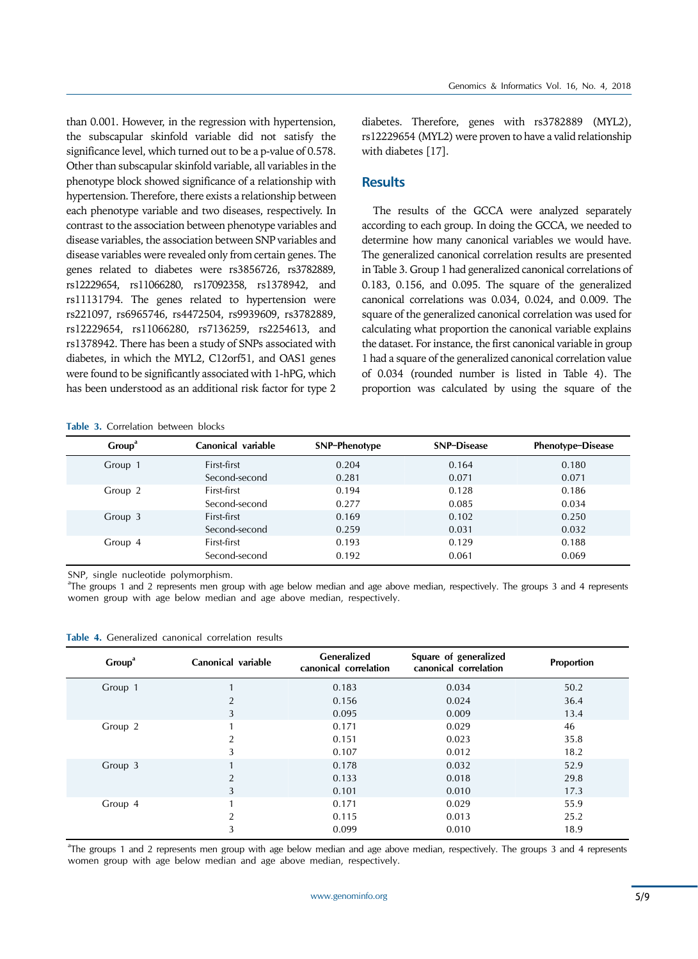than 0.001. However, in the regression with hypertension, the subscapular skinfold variable did not satisfy the significance level, which turned out to be a p-value of 0.578. Other than subscapular skinfold variable, all variables in the phenotype block showed significance of a relationship with hypertension. Therefore, there exists a relationship between each phenotype variable and two diseases, respectively. In contrast to the association between phenotype variables and disease variables, the association between SNP variables and disease variables were revealed only from certain genes. The genes related to diabetes were rs3856726, rs3782889, rs12229654, rs11066280, rs17092358, rs1378942, and rs11131794. The genes related to hypertension were rs221097, rs6965746, rs4472504, rs9939609, rs3782889, rs12229654, rs11066280, rs7136259, rs2254613, and rs1378942. There has been a study of SNPs associated with diabetes, in which the MYL2, C12orf51, and OAS1 genes were found to be significantly associated with 1-hPG, which has been understood as an additional risk factor for type 2

**Table 3.** Correlation between blocks

diabetes. Therefore, genes with rs3782889 (MYL2), rs12229654 (MYL2) were proven to have a valid relationship with diabetes [17].

## **Results**

The results of the GCCA were analyzed separately according to each group. In doing the GCCA, we needed to determine how many canonical variables we would have. The generalized canonical correlation results are presented in Table 3. Group 1 had generalized canonical correlations of 0.183, 0.156, and 0.095. The square of the generalized canonical correlations was 0.034, 0.024, and 0.009. The square of the generalized canonical correlation was used for calculating what proportion the canonical variable explains the dataset. For instance, the first canonical variable in group 1 had a square of the generalized canonical correlation value of 0.034 (rounded number is listed in Table 4). The proportion was calculated by using the square of the

| Group <sup>a</sup> | Canonical variable | SNP-Phenotype | <b>SNP-Disease</b> | <b>Phenotype-Disease</b> |
|--------------------|--------------------|---------------|--------------------|--------------------------|
| Group 1            | First-first        | 0.204         | 0.164              | 0.180                    |
|                    | Second-second      | 0.281         | 0.071              | 0.071                    |
| Group 2            | First-first        | 0.194         | 0.128              | 0.186                    |
|                    | Second-second      | 0.277         | 0.085              | 0.034                    |
| Group 3            | First-first        | 0.169         | 0.102              | 0.250                    |
|                    | Second-second      | 0.259         | 0.031              | 0.032                    |
| Group 4            | First-first        | 0.193         | 0.129              | 0.188                    |
|                    | Second-second      | 0.192         | 0.061              | 0.069                    |

SNP, single nucleotide polymorphism.

a The groups 1 and 2 represents men group with age below median and age above median, respectively. The groups 3 and 4 represents women group with age below median and age above median, respectively.

| Table 4. Generalized canonical correlation results |  |  |  |
|----------------------------------------------------|--|--|--|
|----------------------------------------------------|--|--|--|

| Group <sup>a</sup> | Canonical variable | Generalized<br>canonical correlation | Square of generalized<br>canonical correlation | Proportion |
|--------------------|--------------------|--------------------------------------|------------------------------------------------|------------|
| Group 1            |                    | 0.183                                | 0.034                                          | 50.2       |
|                    | 2                  | 0.156                                | 0.024                                          | 36.4       |
|                    | 3                  | 0.095                                | 0.009                                          | 13.4       |
| Group 2            |                    | 0.171                                | 0.029                                          | 46         |
|                    | $\mathcal{L}$      | 0.151                                | 0.023                                          | 35.8       |
|                    | 3                  | 0.107                                | 0.012                                          | 18.2       |
| Group 3            |                    | 0.178                                | 0.032                                          | 52.9       |
|                    | $\Omega$           | 0.133                                | 0.018                                          | 29.8       |
|                    | 3                  | 0.101                                | 0.010                                          | 17.3       |
| Group 4            | 1                  | 0.171                                | 0.029                                          | 55.9       |
|                    | 2                  | 0.115                                | 0.013                                          | 25.2       |
|                    | 3                  | 0.099                                | 0.010                                          | 18.9       |

a The groups 1 and 2 represents men group with age below median and age above median, respectively. The groups 3 and 4 represents women group with age below median and age above median, respectively.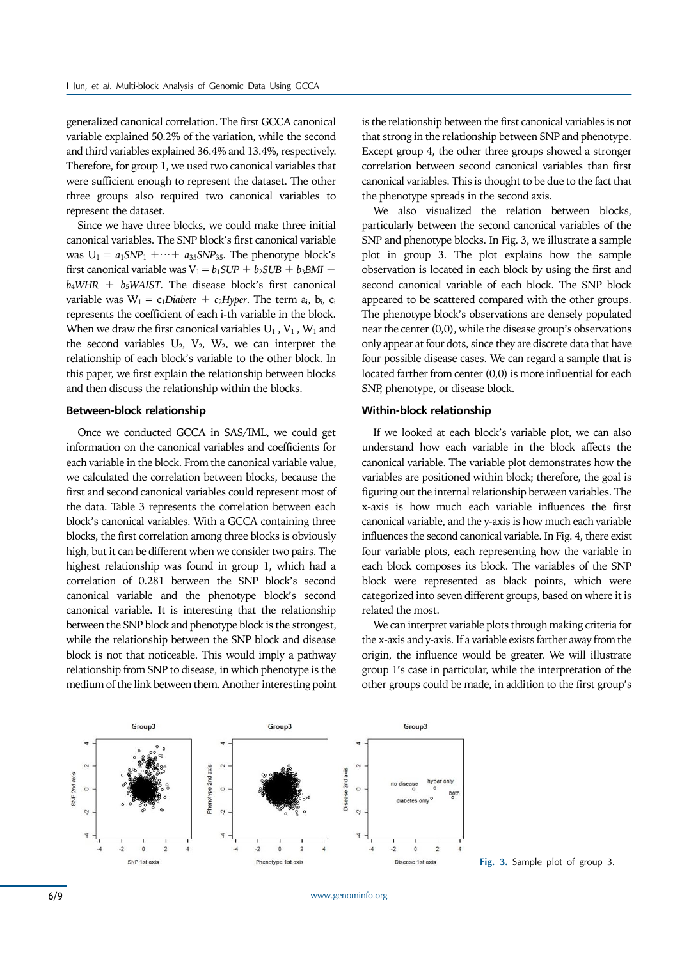generalized canonical correlation. The first GCCA canonical variable explained 50.2% of the variation, while the second and third variables explained 36.4% and 13.4%, respectively. Therefore, for group 1, we used two canonical variables that were sufficient enough to represent the dataset. The other three groups also required two canonical variables to represent the dataset.

Since we have three blocks, we could make three initial canonical variables. The SNP block's first canonical variable was  $U_1 = a_1 S N P_1 + \cdots + a_{35} S N P_{35}$ . The phenotype block's first canonical variable was  $V_1 = b_1SUP + b_2SUB + b_3BMI + b_4I$  $b_4WHR$  +  $b_5WAIST$ . The disease block's first canonical variable was  $W_1 = c_1Diabete + c_2Hyper$ . The term  $a_i$ ,  $b_i$ ,  $c_i$ represents the coefficient of each i-th variable in the block. When we draw the first canonical variables  $U_1$ ,  $V_1$ ,  $W_1$  and the second variables  $U_2$ ,  $V_2$ ,  $W_2$ , we can interpret the relationship of each block's variable to the other block. In this paper, we first explain the relationship between blocks and then discuss the relationship within the blocks.

#### **Between-block relationship**

Once we conducted GCCA in SAS/IML, we could get information on the canonical variables and coefficients for each variable in the block. From the canonical variable value, we calculated the correlation between blocks, because the first and second canonical variables could represent most of the data. Table 3 represents the correlation between each block's canonical variables. With a GCCA containing three blocks, the first correlation among three blocks is obviously high, but it can be different when we consider two pairs. The highest relationship was found in group 1, which had a correlation of 0.281 between the SNP block's second canonical variable and the phenotype block's second canonical variable. It is interesting that the relationship between the SNP block and phenotype block is the strongest, while the relationship between the SNP block and disease block is not that noticeable. This would imply a pathway relationship from SNP to disease, in which phenotype is the medium of the link between them. Another interesting point

is the relationship between the first canonical variables is not that strong in the relationship between SNP and phenotype. Except group 4, the other three groups showed a stronger correlation between second canonical variables than first canonical variables. This is thought to be due to the fact that the phenotype spreads in the second axis.

We also visualized the relation between blocks, particularly between the second canonical variables of the SNP and phenotype blocks. In Fig. 3, we illustrate a sample plot in group 3. The plot explains how the sample observation is located in each block by using the first and second canonical variable of each block. The SNP block appeared to be scattered compared with the other groups. The phenotype block's observations are densely populated near the center (0,0), while the disease group's observations only appear at four dots, since they are discrete data that have four possible disease cases. We can regard a sample that is located farther from center (0,0) is more influential for each SNP, phenotype, or disease block.

#### **Within-block relationship**

If we looked at each block's variable plot, we can also understand how each variable in the block affects the canonical variable. The variable plot demonstrates how the variables are positioned within block; therefore, the goal is figuring out the internal relationship between variables. The x-axis is how much each variable influences the first canonical variable, and the y-axis is how much each variable influences the second canonical variable. In Fig. 4, there exist four variable plots, each representing how the variable in each block composes its block. The variables of the SNP block were represented as black points, which were categorized into seven different groups, based on where it is related the most.

We can interpret variable plots through making criteria for the x-axis and y-axis. If a variable exists farther away from the origin, the influence would be greater. We will illustrate group 1's case in particular, while the interpretation of the other groups could be made, in addition to the first group's

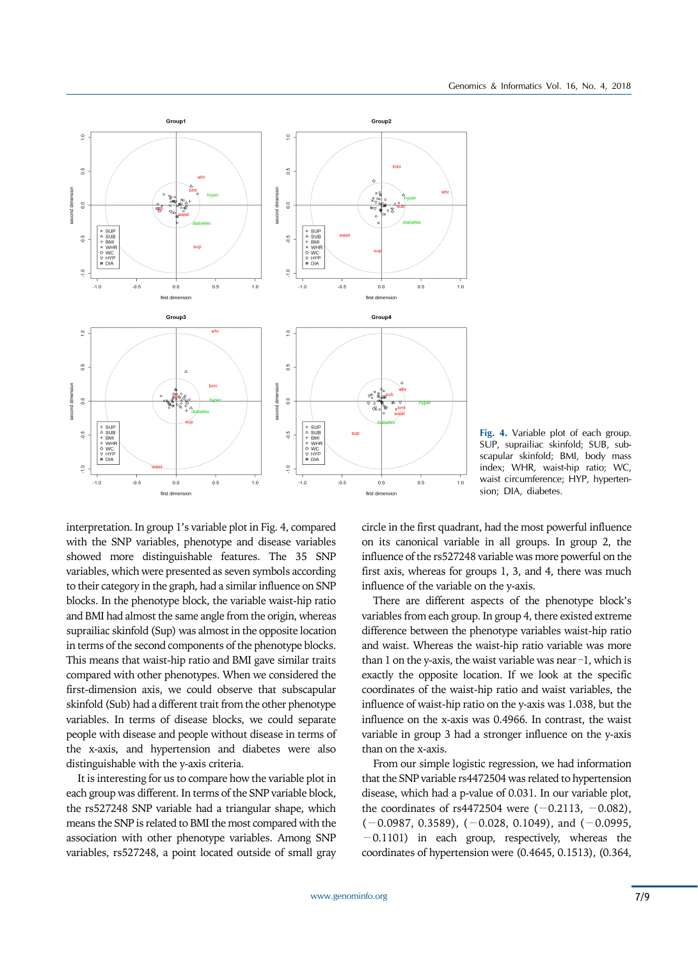

**Fig. 4.** Variable plot of each group. SUP, suprailiac skinfold; SUB, subscapular skinfold; BMI, body mass index; WHR, waist-hip ratio; WC, waist circumference; HYP, hypertension; DIA, diabetes.

interpretation. In group 1's variable plot in Fig. 4, compared with the SNP variables, phenotype and disease variables showed more distinguishable features. The 35 SNP variables, which were presented as seven symbols according to their category in the graph, had a similar influence on SNP blocks. In the phenotype block, the variable waist-hip ratio and BMI had almost the same angle from the origin, whereas suprailiac skinfold (Sup) was almost in the opposite location in terms of the second components of the phenotype blocks. This means that waist-hip ratio and BMI gave similar traits compared with other phenotypes. When we considered the first-dimension axis, we could observe that subscapular skinfold (Sub) had a different trait from the other phenotype variables. In terms of disease blocks, we could separate people with disease and people without disease in terms of the x-axis, and hypertension and diabetes were also distinguishable with the y-axis criteria.

It is interesting for us to compare how the variable plot in each group was different. In terms of the SNP variable block, the rs527248 SNP variable had a triangular shape, which means the SNP is related to BMI the most compared with the association with other phenotype variables. Among SNP variables, rs527248, a point located outside of small gray

circle in the first quadrant, had the most powerful influence on its canonical variable in all groups. In group 2, the influence of the rs527248 variable was more powerful on the first axis, whereas for groups 1, 3, and 4, there was much influence of the variable on the y-axis.

There are different aspects of the phenotype block's variables from each group. In group 4, there existed extreme difference between the phenotype variables waist-hip ratio and waist. Whereas the waist-hip ratio variable was more than 1 on the y-axis, the waist variable was near  $-1$ , which is exactly the opposite location. If we look at the specific coordinates of the waist-hip ratio and waist variables, the influence of waist-hip ratio on the y-axis was 1.038, but the influence on the x-axis was 0.4966. In contrast, the waist variable in group 3 had a stronger influence on the y-axis than on the x-axis.

From our simple logistic regression, we had information that the SNP variable rs4472504 was related to hypertension disease, which had a p-value of 0.031. In our variable plot, the coordinates of rs4472504 were  $(-0.2113, -0.082)$ ,  $(-0.0987, 0.3589), (-0.028, 0.1049),$  and  $(-0.0995,$ −0.1101) in each group, respectively, whereas the coordinates of hypertension were (0.4645, 0.1513), (0.364,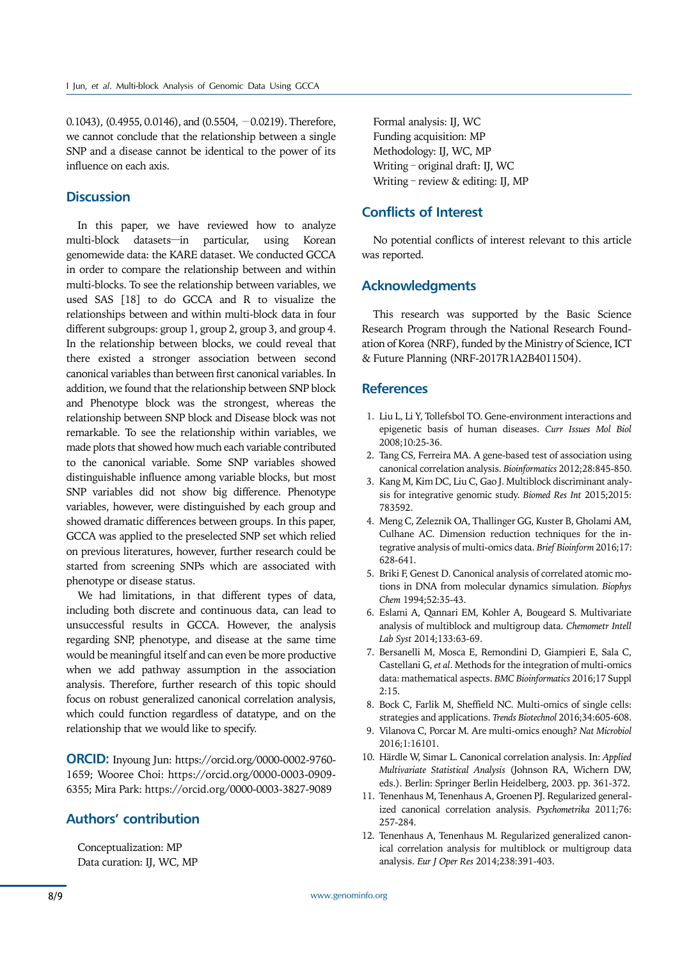0.1043), (0.4955, 0.0146), and (0.5504, −0.0219). Therefore, we cannot conclude that the relationship between a single SNP and a disease cannot be identical to the power of its influence on each axis.

# **Discussion**

In this paper, we have reviewed how to analyze multi-block datasets—in particular, using Korean genomewide data: the KARE dataset. We conducted GCCA in order to compare the relationship between and within multi-blocks. To see the relationship between variables, we used SAS [18] to do GCCA and R to visualize the relationships between and within multi-block data in four different subgroups: group 1, group 2, group 3, and group 4. In the relationship between blocks, we could reveal that there existed a stronger association between second canonical variables than between first canonical variables. In addition, we found that the relationship between SNP block and Phenotype block was the strongest, whereas the relationship between SNP block and Disease block was not remarkable. To see the relationship within variables, we made plots that showed how much each variable contributed to the canonical variable. Some SNP variables showed distinguishable influence among variable blocks, but most SNP variables did not show big difference. Phenotype variables, however, were distinguished by each group and showed dramatic differences between groups. In this paper, GCCA was applied to the preselected SNP set which relied on previous literatures, however, further research could be started from screening SNPs which are associated with phenotype or disease status.

We had limitations, in that different types of data, including both discrete and continuous data, can lead to unsuccessful results in GCCA. However, the analysis regarding SNP, phenotype, and disease at the same time would be meaningful itself and can even be more productive when we add pathway assumption in the association analysis. Therefore, further research of this topic should focus on robust generalized canonical correlation analysis, which could function regardless of datatype, and on the relationship that we would like to specify.

**ORCID:** Inyoung Jun: https://orcid.org/0000-0002-9760- 1659; Wooree Choi: https://orcid.org/0000-0003-0909- 6355; Mira Park: https://orcid.org/0000-0003-3827-9089

# **Authors' contribution**

Conceptualization: MP Data curation: IJ, WC, MP

Formal analysis: IJ, WC Funding acquisition: MP Methodology: IJ, WC, MP Writing – original draft: IJ, WC Writing – review & editing: IJ, MP

# **Conflicts of Interest**

No potential conflicts of interest relevant to this article was reported.

## **Acknowledgments**

This research was supported by the Basic Science Research Program through the National Research Foundation of Korea (NRF), funded by the Ministry of Science, ICT & Future Planning (NRF-2017R1A2B4011504).

## **References**

- 1. Liu L, Li Y, Tollefsbol TO. Gene-environment interactions and epigenetic basis of human diseases. *Curr Issues Mol Biol* 2008;10:25-36.
- 2. Tang CS, Ferreira MA. A gene-based test of association using canonical correlation analysis. *Bioinformatics* 2012;28:845-850.
- 3. Kang M, Kim DC, Liu C, Gao J. Multiblock discriminant analysis for integrative genomic study. *Biomed Res Int* 2015;2015: 783592.
- 4. Meng C, Zeleznik OA, Thallinger GG, Kuster B, Gholami AM, Culhane AC. Dimension reduction techniques for the integrative analysis of multi-omics data. *Brief Bioinform* 2016;17: 628-641.
- 5. Briki F, Genest D. Canonical analysis of correlated atomic motions in DNA from molecular dynamics simulation. *Biophys Chem* 1994;52:35-43.
- 6. Eslami A, Qannari EM, Kohler A, Bougeard S. Multivariate analysis of multiblock and multigroup data. *Chemometr Intell Lab Syst* 2014;133:63-69.
- 7. Bersanelli M, Mosca E, Remondini D, Giampieri E, Sala C, Castellani G, *et al*. Methods for the integration of multi-omics data: mathematical aspects. *BMC Bioinformatics* 2016;17 Suppl 2:15.
- 8. Bock C, Farlik M, Sheffield NC. Multi-omics of single cells: strategies and applications. *Trends Biotechnol* 2016;34:605-608.
- 9. Vilanova C, Porcar M. Are multi-omics enough? *Nat Microbiol*  2016;1:16101.
- 10. Härdle W, Simar L. Canonical correlation analysis. In: *Applied Multivariate Statistical Analysis* (Johnson RA, Wichern DW, eds.). Berlin: Springer Berlin Heidelberg, 2003. pp. 361-372.
- 11. Tenenhaus M, Tenenhaus A, Groenen PJ. Regularized generalized canonical correlation analysis. *Psychometrika* 2011;76: 257-284.
- 12. Tenenhaus A, Tenenhaus M. Regularized generalized canonical correlation analysis for multiblock or multigroup data analysis. *Eur J Oper Res* 2014;238:391-403.